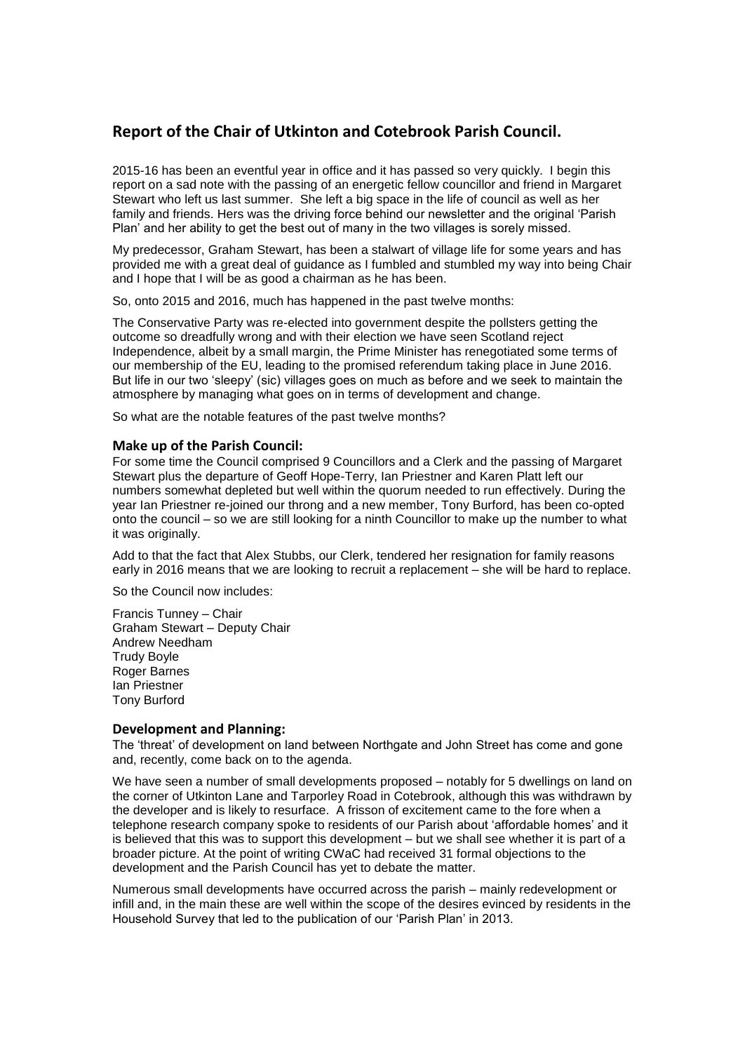# **Report of the Chair of Utkinton and Cotebrook Parish Council.**

2015-16 has been an eventful year in office and it has passed so very quickly. I begin this report on a sad note with the passing of an energetic fellow councillor and friend in Margaret Stewart who left us last summer. She left a big space in the life of council as well as her family and friends. Hers was the driving force behind our newsletter and the original 'Parish Plan' and her ability to get the best out of many in the two villages is sorely missed.

My predecessor, Graham Stewart, has been a stalwart of village life for some years and has provided me with a great deal of guidance as I fumbled and stumbled my way into being Chair and I hope that I will be as good a chairman as he has been.

So, onto 2015 and 2016, much has happened in the past twelve months:

The Conservative Party was re-elected into government despite the pollsters getting the outcome so dreadfully wrong and with their election we have seen Scotland reject Independence, albeit by a small margin, the Prime Minister has renegotiated some terms of our membership of the EU, leading to the promised referendum taking place in June 2016. But life in our two 'sleepy' (sic) villages goes on much as before and we seek to maintain the atmosphere by managing what goes on in terms of development and change.

So what are the notable features of the past twelve months?

# **Make up of the Parish Council:**

For some time the Council comprised 9 Councillors and a Clerk and the passing of Margaret Stewart plus the departure of Geoff Hope-Terry, Ian Priestner and Karen Platt left our numbers somewhat depleted but well within the quorum needed to run effectively. During the year Ian Priestner re-joined our throng and a new member, Tony Burford, has been co-opted onto the council – so we are still looking for a ninth Councillor to make up the number to what it was originally.

Add to that the fact that Alex Stubbs, our Clerk, tendered her resignation for family reasons early in 2016 means that we are looking to recruit a replacement – she will be hard to replace.

So the Council now includes:

Francis Tunney – Chair Graham Stewart – Deputy Chair Andrew Needham Trudy Boyle Roger Barnes Ian Priestner Tony Burford

# **Development and Planning:**

The 'threat' of development on land between Northgate and John Street has come and gone and, recently, come back on to the agenda.

We have seen a number of small developments proposed – notably for 5 dwellings on land on the corner of Utkinton Lane and Tarporley Road in Cotebrook, although this was withdrawn by the developer and is likely to resurface. A frisson of excitement came to the fore when a telephone research company spoke to residents of our Parish about 'affordable homes' and it is believed that this was to support this development – but we shall see whether it is part of a broader picture. At the point of writing CWaC had received 31 formal objections to the development and the Parish Council has yet to debate the matter.

Numerous small developments have occurred across the parish – mainly redevelopment or infill and, in the main these are well within the scope of the desires evinced by residents in the Household Survey that led to the publication of our 'Parish Plan' in 2013.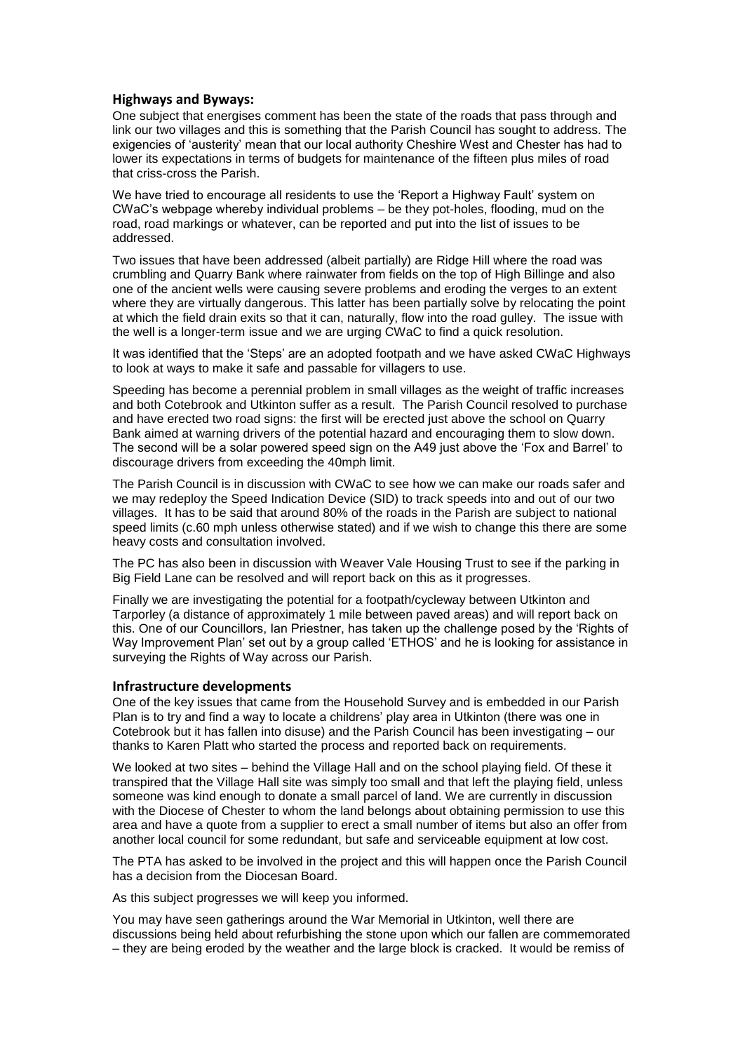# **Highways and Byways:**

One subject that energises comment has been the state of the roads that pass through and link our two villages and this is something that the Parish Council has sought to address. The exigencies of 'austerity' mean that our local authority Cheshire West and Chester has had to lower its expectations in terms of budgets for maintenance of the fifteen plus miles of road that criss-cross the Parish.

We have tried to encourage all residents to use the 'Report a Highway Fault' system on CWaC's webpage whereby individual problems – be they pot-holes, flooding, mud on the road, road markings or whatever, can be reported and put into the list of issues to be addressed.

Two issues that have been addressed (albeit partially) are Ridge Hill where the road was crumbling and Quarry Bank where rainwater from fields on the top of High Billinge and also one of the ancient wells were causing severe problems and eroding the verges to an extent where they are virtually dangerous. This latter has been partially solve by relocating the point at which the field drain exits so that it can, naturally, flow into the road gulley. The issue with the well is a longer-term issue and we are urging CWaC to find a quick resolution.

It was identified that the 'Steps' are an adopted footpath and we have asked CWaC Highways to look at ways to make it safe and passable for villagers to use.

Speeding has become a perennial problem in small villages as the weight of traffic increases and both Cotebrook and Utkinton suffer as a result. The Parish Council resolved to purchase and have erected two road signs: the first will be erected just above the school on Quarry Bank aimed at warning drivers of the potential hazard and encouraging them to slow down. The second will be a solar powered speed sign on the A49 just above the 'Fox and Barrel' to discourage drivers from exceeding the 40mph limit.

The Parish Council is in discussion with CWaC to see how we can make our roads safer and we may redeploy the Speed Indication Device (SID) to track speeds into and out of our two villages. It has to be said that around 80% of the roads in the Parish are subject to national speed limits (c.60 mph unless otherwise stated) and if we wish to change this there are some heavy costs and consultation involved.

The PC has also been in discussion with Weaver Vale Housing Trust to see if the parking in Big Field Lane can be resolved and will report back on this as it progresses.

Finally we are investigating the potential for a footpath/cycleway between Utkinton and Tarporley (a distance of approximately 1 mile between paved areas) and will report back on this. One of our Councillors, Ian Priestner, has taken up the challenge posed by the 'Rights of Way Improvement Plan' set out by a group called 'ETHOS' and he is looking for assistance in surveying the Rights of Way across our Parish.

# **Infrastructure developments**

One of the key issues that came from the Household Survey and is embedded in our Parish Plan is to try and find a way to locate a childrens' play area in Utkinton (there was one in Cotebrook but it has fallen into disuse) and the Parish Council has been investigating – our thanks to Karen Platt who started the process and reported back on requirements.

We looked at two sites – behind the Village Hall and on the school playing field. Of these it transpired that the Village Hall site was simply too small and that left the playing field, unless someone was kind enough to donate a small parcel of land. We are currently in discussion with the Diocese of Chester to whom the land belongs about obtaining permission to use this area and have a quote from a supplier to erect a small number of items but also an offer from another local council for some redundant, but safe and serviceable equipment at low cost.

The PTA has asked to be involved in the project and this will happen once the Parish Council has a decision from the Diocesan Board.

As this subject progresses we will keep you informed.

You may have seen gatherings around the War Memorial in Utkinton, well there are discussions being held about refurbishing the stone upon which our fallen are commemorated – they are being eroded by the weather and the large block is cracked. It would be remiss of